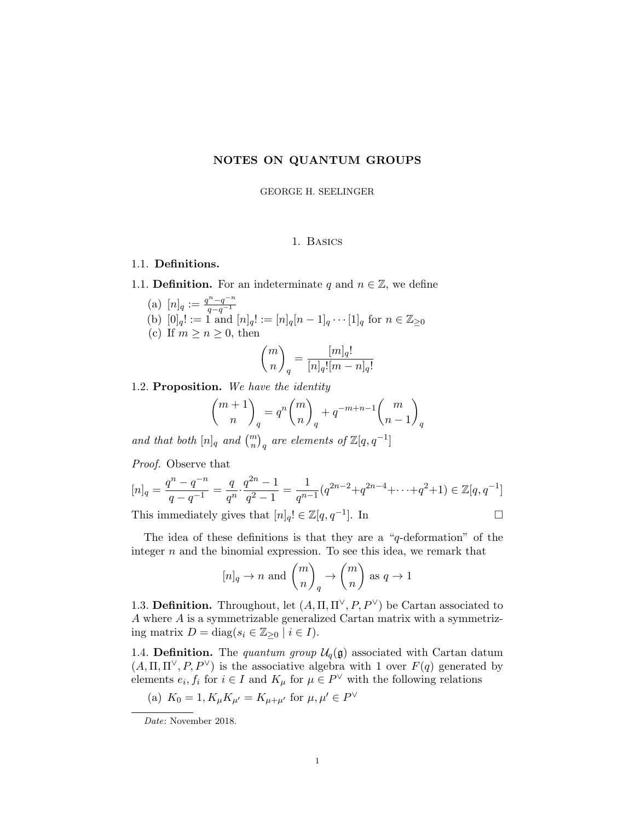# NOTES ON QUANTUM GROUPS

GEORGE H. SEELINGER

## 1. Basics

## 1.1. Definitions.

- 1.1. **Definition.** For an indeterminate q and  $n \in \mathbb{Z}$ , we define
	- (a)  $[n]_q := \frac{q^n q^{-n}}{q q^{-1}}$ (a)  $\lfloor n \rfloor q \cdot \frac{q}{q-q^{-1}}$ <br>
	(b)  $[0]_q! := 1$  and  $[n]_q! := [n]_q[n-1]_q \cdots [1]_q$  for  $n \in \mathbb{Z}_{\geq 0}$ (c) If  $m \geq n \geq 0$ , then  $\sqrt{m}$ n  $\setminus$ q  $=\frac{[m]_q!}{[m]_q!}$  $[n]_q![m-n]_q!$

### 1.2. Proposition. We have the identity

$$
\binom{m+1}{n}_q = q^n \binom{m}{n}_q + q^{-m+n-1} \binom{m}{n-1}_q
$$

and that both  $[n]_q$  and  $\binom{m}{n}_q$  are elements of  $\mathbb{Z}[q, q^{-1}]$ 

Proof. Observe that

$$
[n]_q = \frac{q^n - q^{-n}}{q - q^{-1}} = \frac{q}{q^n} \cdot \frac{q^{2n} - 1}{q^2 - 1} = \frac{1}{q^{n-1}} (q^{2n-2} + q^{2n-4} + \dots + q^2 + 1) \in \mathbb{Z}[q, q^{-1}]
$$

This immediately gives that  $[n]_q! \in \mathbb{Z}[q, q^{-1}]$ . In

The idea of these definitions is that they are a "q-deformation" of the integer  $n$  and the binomial expression. To see this idea, we remark that

$$
[n]_q \to n
$$
 and  $\binom{m}{n}_q \to \binom{m}{n}$  as  $q \to 1$ 

1.3. Definition. Throughout, let  $(A, \Pi, \Pi^{\vee}, P, P^{\vee})$  be Cartan associated to A where A is a symmetrizable generalized Cartan matrix with a symmetrizing matrix  $D = diag(s_i \in \mathbb{Z}_{\geq 0} \mid i \in I).$ 

1.4. Definition. The quantum group  $\mathcal{U}_q(\mathfrak{g})$  associated with Cartan datum  $(A, \Pi, \Pi^{\vee}, P, P^{\vee})$  is the associative algebra with 1 over  $F(q)$  generated by elements  $e_i, f_i$  for  $i \in I$  and  $K_\mu$  for  $\mu \in P^{\vee}$  with the following relations

(a) 
$$
K_0 = 1, K_\mu K_{\mu'} = K_{\mu + \mu'}
$$
 for  $\mu, \mu' \in P^{\vee}$ 

Date: November 2018.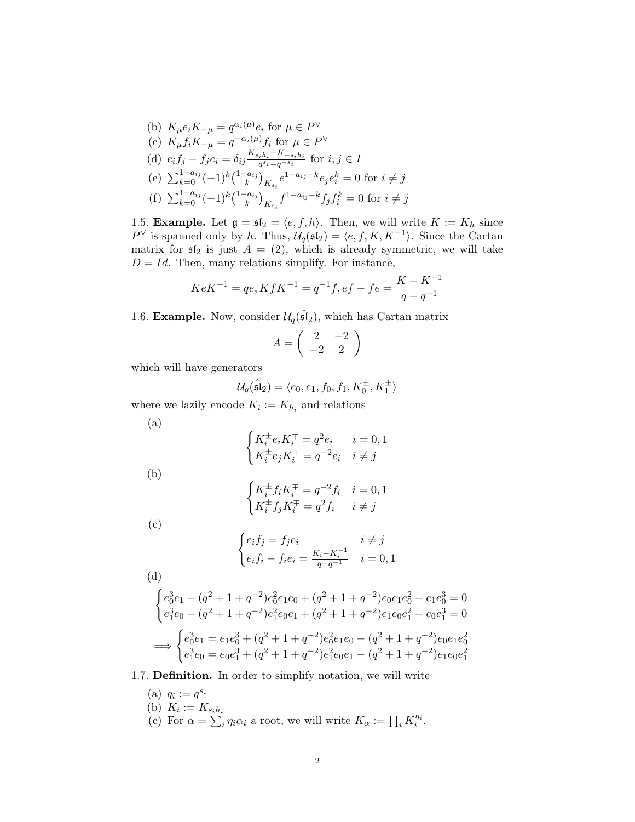(b) 
$$
K_{\mu}e_iK_{-\mu} = q^{\alpha_i(\mu)}e_i
$$
 for  $\mu \in P^{\vee}$   
\n(c)  $K_{\mu}f_iK_{-\mu} = q^{-\alpha_i(\mu)}f_i$  for  $\mu \in P^{\vee}$   
\n(d)  $e_if_j - f_je_i = \delta_{ij}\frac{K_{s_i h_i} - K_{-s_i h_i}}{q^{s_i} - q^{-s_i}}$  for  $i, j \in I$   
\n(e)  $\sum_{k=0}^{1-a_{ij}} (-1)^k {1-a_{ij} \choose k}_{K_{s_i}} e^{1-a_{ij} - k}e_je_i^k = 0$  for  $i \neq j$   
\n(f)  $\sum_{k=0}^{1-a_{ij}} (-1)^k {1-a_{ij} \choose k}_{K_{s_i}} f^{1-a_{ij} - k} f_j f_i^k = 0$  for  $i \neq j$ 

1.5. **Example.** Let  $\mathfrak{g} = \mathfrak{sl}_2 = \langle e, f, h \rangle$ . Then, we will write  $K := K_h$  since  $P^{\vee}$  is spanned only by h. Thus,  $\mathcal{U}_q(\mathfrak{sl}_2) = \langle e, f, K, K^{-1} \rangle$ . Since the Cartan matrix for  $\mathfrak{sl}_2$  is just  $A = (2)$ , which is already symmetric, we will take  $D = Id$ . Then, many relations simplify. For instance,

$$
KeK^{-1} = qe, KfK^{-1} = q^{-1}f, ef - fe = \frac{K - K^{-1}}{q - q^{-1}}
$$

1.6. Example. Now, consider  $\mathcal{U}_q(\hat{\mathfrak{sl}}_2)$ , which has Cartan matrix

$$
A = \left(\begin{array}{cc} 2 & -2 \\ -2 & 2 \end{array}\right)
$$

which will have generators

$$
\mathcal{U}_q(\hat{\mathfrak{sl}}_2)=\langle e_0, e_1, f_0, f_1, K_0^{\pm}, K_1^{\pm}\rangle
$$

where we lazily encode  $K_i := K_{h_i}$  and relations

$$
\begin{cases} K_i^{\pm} e_i K_i^{\mp} = q^2 e_i & i = 0, 1 \\ K_i^{\pm} e_j K_i^{\mp} = q^{-2} e_i & i \neq j \end{cases}
$$

(b)

(a)

$$
\begin{cases} K_i^{\pm} f_i K_i^{\mp} = q^{-2} f_i & i = 0, 1\\ K_i^{\pm} f_j K_i^{\mp} = q^2 f_i & i \neq j \end{cases}
$$

(c)

$$
\begin{cases} e_i f_j = f_j e_i & i \neq j \\ e_i f_i - f_i e_i = \frac{K_i - K_i^{-1}}{q - q^{-1}} & i = 0, 1 \end{cases}
$$

(d)

$$
\begin{cases} e_0^3 e_1 - (q^2 + 1 + q^{-2})e_0^2 e_1 e_0 + (q^2 + 1 + q^{-2})e_0 e_1 e_0^2 - e_1 e_0^3 = 0 \\ e_1^3 e_0 - (q^2 + 1 + q^{-2})e_1^2 e_0 e_1 + (q^2 + 1 + q^{-2})e_1 e_0 e_1^2 - e_0 e_1^3 = 0 \end{cases}
$$
  
\n
$$
\implies \begin{cases} e_0^3 e_1 = e_1 e_0^3 + (q^2 + 1 + q^{-2})e_0^2 e_1 e_0 - (q^2 + 1 + q^{-2})e_0 e_1 e_0^2 \\ e_1^3 e_0 = e_0 e_1^3 + (q^2 + 1 + q^{-2})e_1^2 e_0 e_1 - (q^2 + 1 + q^{-2})e_1 e_0 e_1^2 \end{cases}
$$

# 1.7. Definition. In order to simplify notation, we will write

(a)  $q_i := q^{s_i}$ (b)  $K_i := K_{s_i h_i}$ (c) For  $\alpha = \sum_{i}^{n} \eta_i \alpha_i$  a root, we will write  $K_{\alpha} := \prod_i K_i^{\eta_i}$ .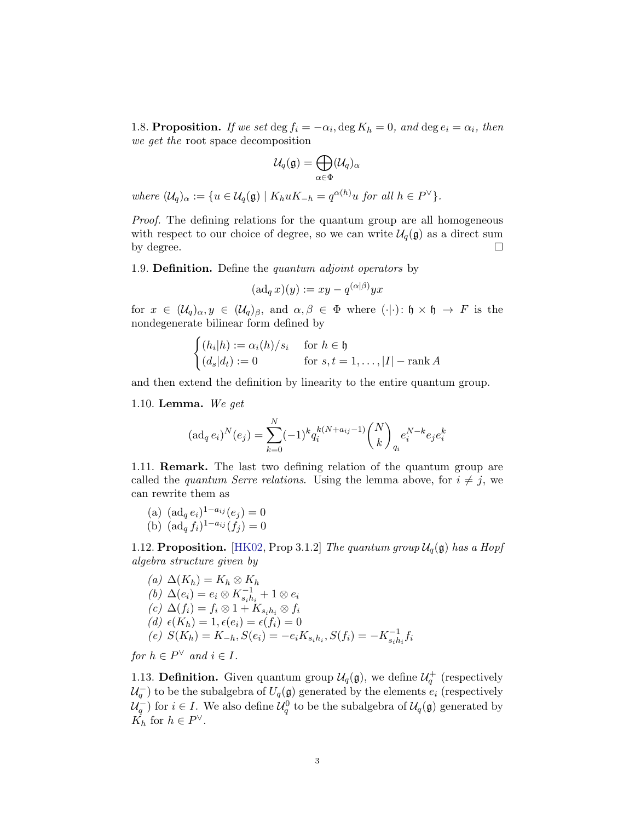<span id="page-2-0"></span>1.8. Proposition. If we set  $\deg f_i = -\alpha_i, \deg K_h = 0$ , and  $\deg e_i = \alpha_i$ , then we get the root space decomposition

$$
\mathcal{U}_q(\mathfrak{g})=\bigoplus_{\alpha\in\Phi}(\mathcal{U}_q)_\alpha
$$

where  $(\mathcal{U}_q)_{\alpha} := \{ u \in \mathcal{U}_q(\mathfrak{g}) \mid K_h u K_{-h} = q^{\alpha(h)} u \text{ for all } h \in P^{\vee} \}.$ 

Proof. The defining relations for the quantum group are all homogeneous with respect to our choice of degree, so we can write  $\mathcal{U}_q(\mathfrak{g})$  as a direct sum by degree.  $\square$ 

1.9. **Definition.** Define the quantum adjoint operators by

$$
(\operatorname{ad}_q x)(y) := xy - q^{(\alpha|\beta)}yx
$$

for  $x \in (\mathcal{U}_q)_{\alpha}, y \in (\mathcal{U}_q)_{\beta}$ , and  $\alpha, \beta \in \Phi$  where  $(\cdot | \cdot) : \mathfrak{h} \times \mathfrak{h} \to F$  is the nondegenerate bilinear form defined by

$$
\begin{cases}\n(h_i|h) := \alpha_i(h)/s_i & \text{for } h \in \mathfrak{h} \\
(d_s|d_t) := 0 & \text{for } s, t = 1, \dots, |I| - \text{rank } A\n\end{cases}
$$

and then extend the definition by linearity to the entire quantum group.

1.10. **Lemma.** We get

$$
(\operatorname{ad}_q e_i)^N(e_j) = \sum_{k=0}^N (-1)^k q_i^{k(N+a_{ij}-1)} \binom{N}{k}_{q_i} e_i^{N-k} e_j e_i^k
$$

1.11. Remark. The last two defining relation of the quantum group are called the *quantum Serre relations*. Using the lemma above, for  $i \neq j$ , we can rewrite them as

- (a)  $(\text{ad}_q e_i)^{1-a_{ij}}(e_j) = 0$
- (b)  $(\text{ad}_q f_i)^{1-a_{ij}}(f_j) = 0$

1.12. Proposition. [\[HK02,](#page-8-0) Prop 3.1.2] The quantum group  $\mathcal{U}_q(\mathfrak{g})$  has a Hopf algebra structure given by

(a) 
$$
\Delta(K_h) = K_h \otimes K_h
$$
  
\n(b) 
$$
\Delta(e_i) = e_i \otimes K_{s_i h_i}^{-1} + 1 \otimes e_i
$$
  
\n(c) 
$$
\Delta(f_i) = f_i \otimes 1 + K_{s_i h_i} \otimes f_i
$$
  
\n(d) 
$$
\epsilon(K_h) = 1, \epsilon(e_i) = \epsilon(f_i) = 0
$$
  
\n(e) 
$$
S(K_h) = K_{-h}, S(e_i) = -e_i K_{s_i h_i}, S(f_i) = -K_{s_i h_i}^{-1} f_i
$$

for  $h \in P^{\vee}$  and  $i \in I$ .

1.13. **Definition.** Given quantum group  $\mathcal{U}_q(\mathfrak{g})$ , we define  $\mathcal{U}_q^+$  (respectively  $\mathcal{U}_q^{\mathcal{I}}$  to be the subalgebra of  $U_q(\mathfrak{g})$  generated by the elements  $e_i$  (respectively  $\mathcal{U}_q^{\pm}$ ) for  $i \in I$ . We also define  $\mathcal{U}_q^0$  to be the subalgebra of  $\mathcal{U}_q(\mathfrak{g})$  generated by  $K_h$  for  $h \in P^{\vee}$ .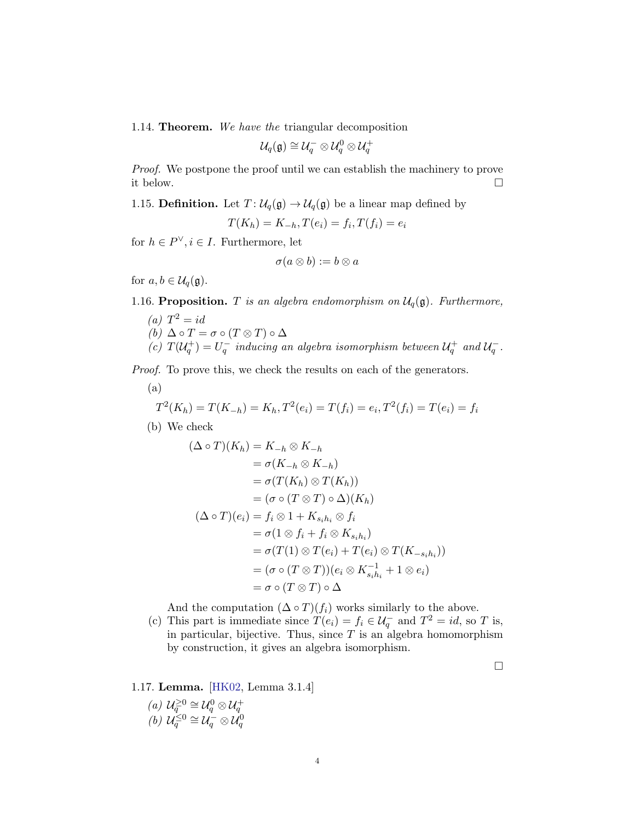<span id="page-3-0"></span>1.14. Theorem. We have the triangular decomposition

$$
\mathcal{U}_q(\mathfrak{g}) \cong \mathcal{U}_q^-\otimes \mathcal{U}_q^0\otimes \mathcal{U}_q^+
$$

Proof. We postpone the proof until we can establish the machinery to prove it below.

1.15. **Definition.** Let  $T: \mathcal{U}_q(\mathfrak{g}) \to \mathcal{U}_q(\mathfrak{g})$  be a linear map defined by

$$
T(K_h) = K_{-h}, T(e_i) = f_i, T(f_i) = e_i
$$

for  $h \in P^{\vee}, i \in I$ . Furthermore, let

$$
\sigma(a\otimes b):=b\otimes a
$$

for  $a, b \in \mathcal{U}_q(\mathfrak{g})$ .

1.16. Proposition. T is an algebra endomorphism on  $\mathcal{U}_q(\mathfrak{g})$ . Furthermore,

(a)  $T^2 = id$ (b)  $\Delta \circ T = \sigma \circ (T \otimes T) \circ \Delta$ (c)  $T(\mathcal{U}_q^+) = U_q^-$  inducing an algebra isomorphism between  $\mathcal{U}_q^+$  and  $\mathcal{U}_q^-$ .

Proof. To prove this, we check the results on each of the generators.

(a)  
\n
$$
T^{2}(K_{h}) = T(K_{-h}) = K_{h}, T^{2}(e_{i}) = T(f_{i}) = e_{i}, T^{2}(f_{i}) = T(e_{i}) = f_{i}
$$

(b) We check

$$
(\Delta \circ T)(K_h) = K_{-h} \otimes K_{-h}
$$
  
\n
$$
= \sigma(K_{-h} \otimes K_{-h})
$$
  
\n
$$
= \sigma(T(K_h) \otimes T(K_h))
$$
  
\n
$$
= (\sigma \circ (T \otimes T) \circ \Delta)(K_h)
$$
  
\n
$$
(\Delta \circ T)(e_i) = f_i \otimes 1 + K_{s_i h_i} \otimes f_i
$$
  
\n
$$
= \sigma(1 \otimes f_i + f_i \otimes K_{s_i h_i})
$$
  
\n
$$
= \sigma(T(1) \otimes T(e_i) + T(e_i) \otimes T(K_{-s_i h_i})
$$
  
\n
$$
= (\sigma \circ (T \otimes T))(e_i \otimes K_{s_i h_i}^{-1} + 1 \otimes e_i)
$$
  
\n
$$
= \sigma \circ (T \otimes T) \circ \Delta
$$

And the computation  $(\Delta \circ T)(f_i)$  works similarly to the above.

(c) This part is immediate since  $T(e_i) = f_i \in \mathcal{U}_q^-$  and  $T^2 = id$ , so T is, in particular, bijective. Thus, since  $T$  is an algebra homomorphism by construction, it gives an algebra isomorphism.

 $\Box$ 

))

## 1.17. Lemma. [\[HK02,](#page-8-0) Lemma 3.1.4]

(a)  $\mathcal{U}_q^{\geq 0} \cong \mathcal{U}_q^0 \otimes \mathcal{U}_q^+$ (b)  $\mathcal{U}_q^{\leq 0} \cong \mathcal{U}_q^{\leq 0} \otimes \mathcal{U}_q^0$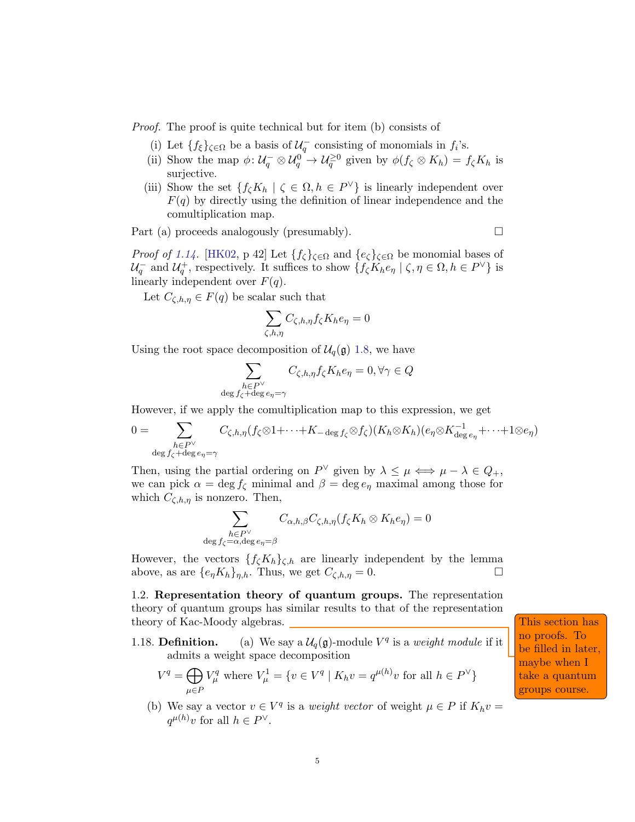Proof. The proof is quite technical but for item (b) consists of

- (i) Let  $\{f_{\xi}\}_{\zeta \in \Omega}$  be a basis of  $\mathcal{U}_q^-$  consisting of monomials in  $f_i$ 's.
- (ii) Show the map  $\phi: \mathcal{U}_q^-\otimes \mathcal{U}_q^0\to \mathcal{U}_q^{\geq 0}$  given by  $\phi(f_\zeta \otimes K_h) = f_\zeta K_h$  is surjective.
- (iii) Show the set  $\{f_{\zeta}K_h | \zeta \in \Omega, h \in P^{\vee}\}\$ is linearly independent over  $F(q)$  by directly using the definition of linear independence and the comultiplication map.

Part (a) proceeds analogously (presumably).

*Proof of [1.14.](#page-3-0)* [\[HK02,](#page-8-0) p 42] Let  $\{f_{\zeta}\}_{\zeta \in \Omega}$  and  $\{e_{\zeta}\}_{\zeta \in \Omega}$  be monomial bases of  $\mathcal{U}_q^-$  and  $\mathcal{U}_q^+$ , respectively. It suffices to show  $\{f_\zeta K_h e_\eta \mid \zeta, \eta \in \Omega, h \in P^\vee\}$  is linearly independent over  $F(q)$ .

Let  $C_{\zeta,h,\eta} \in F(q)$  be scalar such that

$$
\sum_{\zeta,h,\eta} C_{\zeta,h,\eta} f_{\zeta} K_h e_{\eta} = 0
$$

Using the root space decomposition of  $\mathcal{U}_q(\mathfrak{g})$  [1.8,](#page-2-0) we have

$$
\sum_{\substack{h \in P^{\vee} \\ \deg f_{\zeta} + \deg e_{\eta} = \gamma}} C_{\zeta, h, \eta} f_{\zeta} K_{h} e_{\eta} = 0, \forall \gamma \in Q
$$

However, if we apply the comultiplication map to this expression, we get

$$
0 = \sum_{\substack{h \in P^{\vee} \\ \deg f_{\zeta} + \deg e_{\eta} = \gamma}} C_{\zeta, h, \eta} (f_{\zeta} \otimes 1 + \dots + K_{-\deg f_{\zeta}} \otimes f_{\zeta}) (K_{h} \otimes K_{h}) (e_{\eta} \otimes K_{\deg e_{\eta}}^{-1} + \dots + 1 \otimes e_{\eta})
$$

Then, using the partial ordering on  $P^{\vee}$  given by  $\lambda \leq \mu \iff \mu - \lambda \in Q_+$ , we can pick  $\alpha = \deg f_{\zeta}$  minimal and  $\beta = \deg e_{\eta}$  maximal among those for which  $C_{\zeta,h,\eta}$  is nonzero. Then,

$$
\sum_{\substack{h \in P^{\vee} \\ \deg f_{\zeta} = \alpha, \deg e_{\eta} = \beta}} C_{\alpha, h, \beta} C_{\zeta, h, \eta} (f_{\zeta} K_h \otimes K_h e_{\eta}) = 0
$$

However, the vectors  $\{f_{\zeta}K_h\}_{\zeta,h}$  are linearly independent by the lemma above, as are  $\{e_{\eta}K_h\}_{\eta,h}$ . Thus, we get  $C_{\zeta,h,\eta}=0$ .

1.2. Representation theory of quantum groups. The representation theory of quantum groups has similar results to that of the representation theory of Kac-Moody algebras. This section has a section has section has section has section has section has seen as  $\Box$ 

1.18. **Definition.** (a) We say a  $\mathcal{U}_q(\mathfrak{g})$ -module  $V^q$  is a *weight module* if it admits a weight space decomposition

$$
V^{q} = \bigoplus_{\mu \in P} V_{\mu}^{q} \text{ where } V_{\mu}^{1} = \{ v \in V^{q} \mid K_{h}v = q^{\mu(h)}v \text{ for all } h \in P^{\vee} \}
$$

(b) We say a vector  $v \in V^q$  is a *weight vector* of weight  $\mu \in P$  if  $K_h v =$  $q^{\mu(h)}v$  for all  $h \in P^{\vee}$ .

no proofs. To be filled in later, maybe when I take a quantum groups course.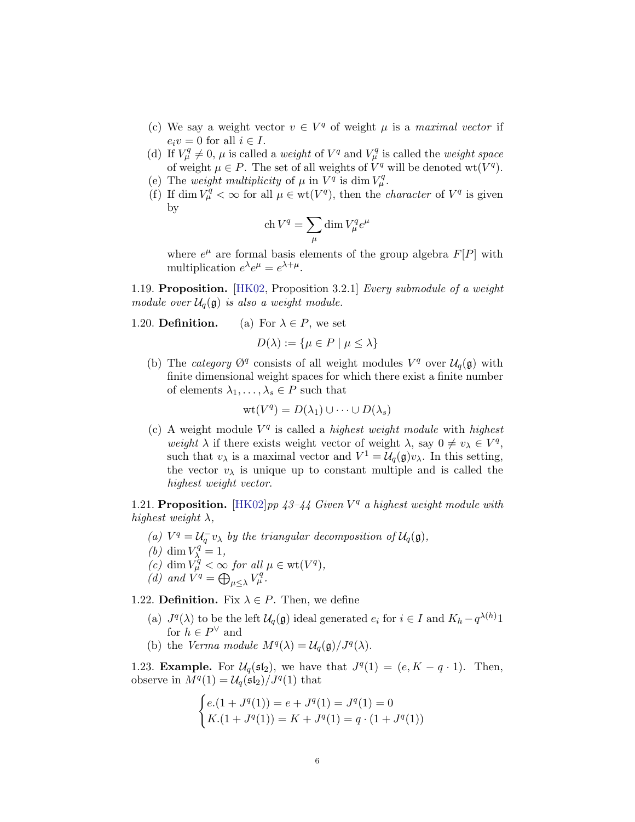- (c) We say a weight vector  $v \in V^q$  of weight  $\mu$  is a maximal vector if  $e_i v = 0$  for all  $i \in I$ .
- (d) If  $V^q_\mu \neq 0$ ,  $\mu$  is called a *weight* of  $V^q$  and  $V^q_\mu$  is called the *weight space* of weight  $\mu \in P$ . The set of all weights of  $V^q$  will be denoted wt $(V^q)$ .
- (e) The weight multiplicity of  $\mu$  in  $V^q$  is dim  $V^q_\mu$ .
- (f) If dim  $V_\mu^q < \infty$  for all  $\mu \in \text{wt}(V^q)$ , then the *character* of  $V^q$  is given by

$$
\operatorname{ch} V^q = \sum_{\mu} \dim V^q_{\mu} e^{\mu}
$$

where  $e^{\mu}$  are formal basis elements of the group algebra  $F[P]$  with multiplication  $e^{\lambda}e^{\mu} = e^{\lambda + \mu}$ .

1.19. Proposition. [\[HK02,](#page-8-0) Proposition 3.2.1] Every submodule of a weight module over  $\mathcal{U}_q(\mathfrak{g})$  is also a weight module.

1.20. **Definition.** (a) For  $\lambda \in P$ , we set

$$
D(\lambda) := \{ \mu \in P \mid \mu \le \lambda \}
$$

(b) The category  $\mathcal{O}^q$  consists of all weight modules  $V^q$  over  $\mathcal{U}_q(\mathfrak{g})$  with finite dimensional weight spaces for which there exist a finite number of elements  $\lambda_1, \ldots, \lambda_s \in P$  such that

$$
\mathrm{wt}(V^q) = D(\lambda_1) \cup \cdots \cup D(\lambda_s)
$$

(c) A weight module  $V^q$  is called a *highest weight module* with *highest* weight  $\lambda$  if there exists weight vector of weight  $\lambda$ , say  $0 \neq v_\lambda \in V^q$ , such that  $v_{\lambda}$  is a maximal vector and  $V^1 = \mathcal{U}_q(\mathfrak{g})v_{\lambda}$ . In this setting, the vector  $v_{\lambda}$  is unique up to constant multiple and is called the highest weight vector.

1.21. Proposition. [\[HK02\]](#page-8-0) pp  $43-44$  Given  $V<sup>q</sup>$  a highest weight module with highest weight  $\lambda$ ,

- (a)  $V^q = \mathcal{U}_q^- v_\lambda$  by the triangular decomposition of  $\mathcal{U}_q(\mathfrak{g})$ ,
- (*b*) dim  $V_{\lambda}^{q} = 1$ ,
- (c) dim  $V_\mu^{\hat{q}} < \infty$  for all  $\mu \in \text{wt}(V^q)$ ,
- (d) and  $V^q = \bigoplus_{\mu \leq \lambda} V_{\mu}^q$ .

1.22. Definition. Fix  $\lambda \in P$ . Then, we define

- (a)  $J^q(\lambda)$  to be the left  $\mathcal{U}_q(\mathfrak{g})$  ideal generated  $e_i$  for  $i \in I$  and  $K_h q^{\lambda(h)}1$ for  $h \in P^{\vee}$  and
- (b) the Verma module  $M^{q}(\lambda) = \mathcal{U}_{q}(\mathfrak{g})/J^{q}(\lambda)$ .

1.23. **Example.** For  $\mathcal{U}_q(\mathfrak{sl}_2)$ , we have that  $J^q(1) = (e, K - q \cdot 1)$ . Then, observe in  $M^{q}(1) = \mathcal{U}_{q}(\mathfrak{sl}_2)/J^{q}(1)$  that

$$
\begin{cases} e.(1+J^q(1)) = e + J^q(1) = J^q(1) = 0\\ K.(1+J^q(1)) = K + J^q(1) = q \cdot (1+J^q(1)) \end{cases}
$$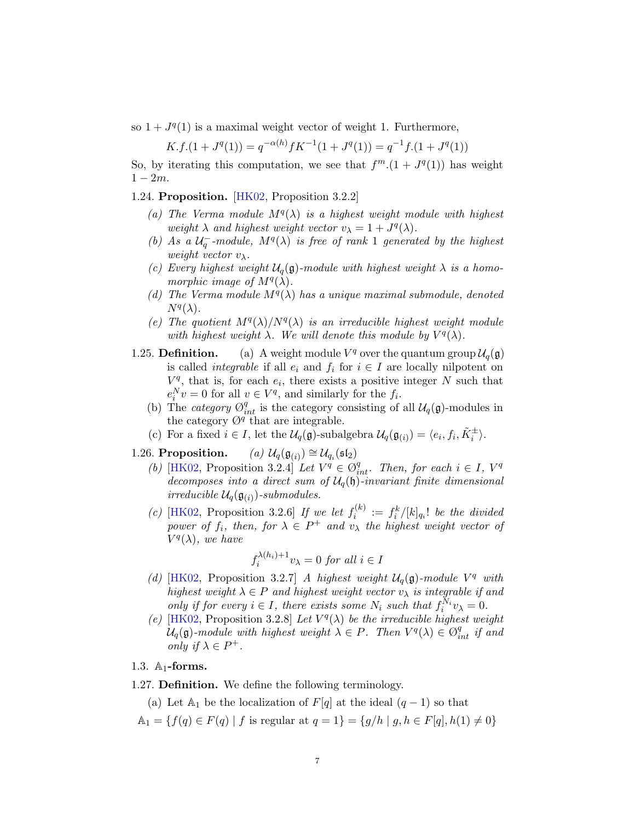so  $1 + J<sup>q</sup>(1)$  is a maximal weight vector of weight 1. Furthermore,

$$
K.f.(1+Jq(1)) = q-\alpha(h)fK-1(1+Jq(1)) = q-1f.(1+Jq(1))
$$

So, by iterating this computation, we see that  $f^m.(1+J^q(1))$  has weight  $1 - 2m$ .

1.24. Proposition. [\[HK02,](#page-8-0) Proposition 3.2.2]

- (a) The Verma module  $M^{q}(\lambda)$  is a highest weight module with highest weight  $\lambda$  and highest weight vector  $v_{\lambda} = 1 + J^q(\lambda)$ .
- (b) As a  $\mathcal{U}_q^-$ -module,  $M^q(\lambda)$  is free of rank 1 generated by the highest weight vector  $v_{\lambda}$ .
- (c) Every highest weight  $\mathcal{U}_q(\mathfrak{g})$ -module with highest weight  $\lambda$  is a homomorphic image of  $M^{q}(\lambda)$ .
- (d) The Verma module  $M^{q}(\lambda)$  has a unique maximal submodule, denoted  $N^q(\lambda)$ .
- (e) The quotient  $M^{q}(\lambda)/N^{q}(\lambda)$  is an irreducible highest weight module with highest weight  $\lambda$ . We will denote this module by  $V^q(\lambda)$ .
- 1.25. **Definition.** (a) A weight module  $V^q$  over the quantum group  $\mathcal{U}_q(\mathfrak{g})$ is called *integrable* if all  $e_i$  and  $f_i$  for  $i \in I$  are locally nilpotent on  $V<sup>q</sup>$ , that is, for each  $e_i$ , there exists a positive integer N such that  $e_i^N v = 0$  for all  $v \in V^q$ , and similarly for the  $f_i$ .
	- (b) The category  $\mathcal{O}_{int}^q$  is the category consisting of all  $\mathcal{U}_q(\mathfrak{g})$ -modules in the category  $\mathcal{O}^q$  that are integrable.
	- (c) For a fixed  $i \in I$ , let the  $\mathcal{U}_q(\mathfrak{g})$ -subalgebra  $\mathcal{U}_q(\mathfrak{g}_{(i)}) = \langle e_i, f_i, \tilde{K}_i^{\pm} \rangle$ .
- 1.26. Proposition.  $) \cong \mathcal{U}_{q_i}(\mathfrak{sl}_2)$ 
	- (b) [\[HK02,](#page-8-0) Proposition 3.2.4] Let  $V^q \in \mathcal{O}_{int}^q$ . Then, for each  $i \in I$ ,  $V^q$ decomposes into a direct sum of  $\mathcal{U}_q(\mathfrak{h})$ -invariant finite dimensional irreducible  $\mathcal{U}_q(\mathfrak{g}_{(i)})$ -submodules.
	- (c) [\[HK02,](#page-8-0) Proposition 3.2.6] If we let  $f_i^{(k)}$  $f_i^{(k)} := f_i^k/[k]_{q_i}!$  be the divided power of  $f_i$ , then, for  $\lambda \in P^+$  and  $v_\lambda$  the highest weight vector of  $V^q(\lambda)$ , we have

$$
f_i^{\lambda(h_i)+1}v_\lambda = 0 \text{ for all } i \in I
$$

- (d) [\[HK02,](#page-8-0) Proposition 3.2.7] A highest weight  $\mathcal{U}_q(\mathfrak{g})$ -module  $V^q$  with highest weight  $\lambda \in P$  and highest weight vector  $v_{\lambda}$  is integrable if and only if for every  $i \in I$ , there exists some  $N_i$  such that  $f_i^{N_i} v_\lambda = 0$ .
- (e) [\[HK02,](#page-8-0) Proposition 3.2.8] Let  $V^q(\lambda)$  be the irreducible highest weight  $\mathcal{U}_q(\mathfrak{g})$ -module with highest weight  $\lambda \in P$ . Then  $V^q(\lambda) \in \mathcal{O}_{int}^q$  if and only if  $\lambda \in P^+$ .

#### 1.3.  $\mathbb{A}_1$ -forms.

1.27. Definition. We define the following terminology.

- (a) Let  $\mathbb{A}_1$  be the localization of  $F[q]$  at the ideal  $(q-1)$  so that
- $\mathbb{A}_1 = \{f(q) \in F(q) \mid f \text{ is regular at } q = 1\} = \{g/h \mid g, h \in F[q], h(1) \neq 0\}$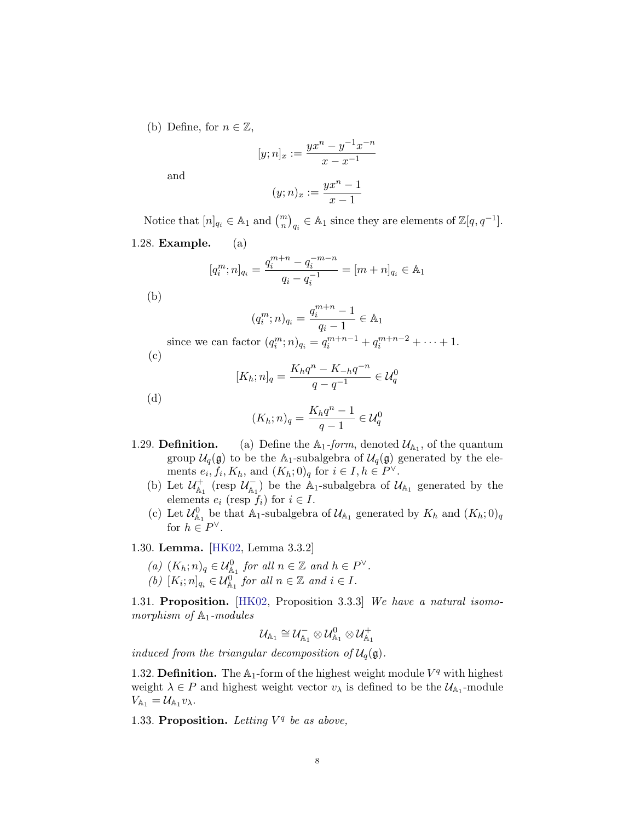(b) Define, for  $n \in \mathbb{Z}$ ,

$$
[y; n]_x := \frac{yx^n - y^{-1}x^{-n}}{x - x^{-1}}
$$

$$
(y; n)_x := \frac{yx^n - 1}{x - 1}
$$

and

Notice that  $[n]_{q_i} \in \mathbb{A}_1$  and  $\binom{m}{n}_{q_i} \in \mathbb{A}_1$  since they are elements of  $\mathbb{Z}[q, q^{-1}]$ .

1.28. Example. (a)

$$
[q_i^m; n]_{q_i} = \frac{q_i^{m+n} - q_i^{-m-n}}{q_i - q_i^{-1}} = [m+n]_{q_i} \in \mathbb{A}_1
$$

(b)

$$
(q_i^m; n)_{q_i} = \frac{q_i^{m+n} - 1}{q_i - 1} \in \mathbb{A}_1
$$
  
since we can factor  $(q_i^m; n)_{q_i} = q_i^{m+n-1} + q_i^{m+n-2} + \dots + 1$ .

(c)

$$
[K_h; n]_q = \frac{K_h q^n - K_{-h} q^{-n}}{q - q^{-1}} \in \mathcal{U}_q^0
$$

(d)

$$
(K_h; n)_q = \frac{K_h q^n - 1}{q - 1} \in \mathcal{U}_q^0
$$

- 1.29. **Definition.** (a) Define the  $\mathbb{A}_1$ -form, denoted  $\mathcal{U}_{\mathbb{A}_1}$ , of the quantum group  $\mathcal{U}_q(\mathfrak{g})$  to be the A<sub>1</sub>-subalgebra of  $\mathcal{U}_q(\mathfrak{g})$  generated by the elements  $e_i, f_i, K_h$ , and  $(K_h; 0)_q$  for  $i \in I, h \in P^{\vee}$ .
	- (b) Let  $\mathcal{U}^+_{A_1}$  (resp  $\mathcal{U}^-_{A_1}$ ) be the A<sub>1</sub>-subalgebra of  $\mathcal{U}_{A_1}$  generated by the elements  $e_i$  (resp  $f_i$ ) for  $i \in I$ .
	- (c) Let  $\mathcal{U}_{\mathbb{A}_1}^0$  be that  $\mathbb{A}_1$ -subalgebra of  $\mathcal{U}_{\mathbb{A}_1}$  generated by  $K_h$  and  $(K_h; 0)_q$ for  $h \in P^{\vee}$ .

1.30. Lemma. [\[HK02,](#page-8-0) Lemma 3.3.2]

- (a)  $(K_h; n)_q \in \mathcal{U}_{\mathbb{A}_1}^0$  for all  $n \in \mathbb{Z}$  and  $h \in P^{\vee}$ .
- (b)  $[K_i; n]_{q_i} \in \mathcal{U}_{\mathbb{A}_1}^{0}$  for all  $n \in \mathbb{Z}$  and  $i \in I$ .

1.31. Proposition. [\[HK02,](#page-8-0) Proposition 3.3.3] We have a natural isomomorphism of  $\mathbb{A}_1$ -modules

$$
\mathcal{U}_{\mathbb{A}_1}\cong\mathcal{U}_{\mathbb{A}_1}^-\otimes\mathcal{U}_{\mathbb{A}_1}^0\otimes\mathcal{U}_{\mathbb{A}_1}^+
$$

induced from the triangular decomposition of  $\mathcal{U}_q(\mathfrak{g})$ .

1.32. Definition. The  $\mathbb{A}_1$ -form of the highest weight module  $V^q$  with highest weight  $\lambda \in P$  and highest weight vector  $v_{\lambda}$  is defined to be the  $\mathcal{U}_{A_1}$ -module  $V_{\mathbb{A}_1} = \mathcal{U}_{\mathbb{A}_1} v_\lambda.$ 

1.33. Proposition. Letting  $V^q$  be as above,